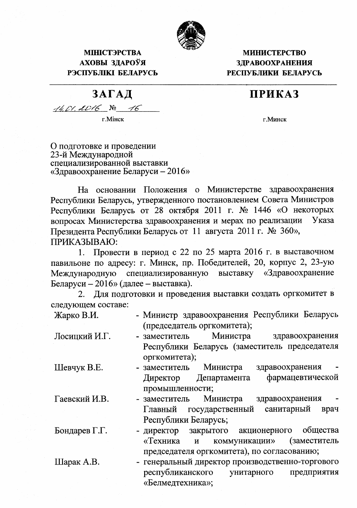

## **МІНІСТЭРСТВА** АХОВЫ ЗЛАРОЎЯ РЭСПУБЛІКІ БЕЛАРУСЬ

## **МИНИСТЕРСТВО ЗДРАВООХРАНЕНИЯ** РЕСПУБЛИКИ БЕЛАРУСЬ

## ПРИКАЗ

г. Минск

| $14.01.0016$ No 16 |  |  |
|--------------------|--|--|
|                    |  |  |

г. Мінск

ЗАГАЛ

О подготовке и проведении 23-й Международной специализированной выставки «Здравоохранение Беларуси –  $2016$ »

На основании Положения о Министерстве здравоохранения Республики Беларусь, утвержденного постановлением Совета Министров Республики Беларусь от 28 октября 2011 г. № 1446 «О некоторых вопросах Министерства здравоохранения и мерах по реализации Указа Президента Республики Беларусь от 11 августа 2011 г. № 360», ПРИКАЗЫВАЮ:

Провести в период с 22 по 25 марта 2016 г. в выставочном  $1_{\ldots}$ павильоне по адресу: г. Минск, пр. Победителей, 20, корпус 2, 23-ую специализированную выставку «Здравоохранение Международную Беларуси - 2016» (далее - выставка).

Для подготовки и проведения выставки создать оргкомитет в 2. следующем составе:

| Жарко В.И. | - Министр здравоохранения Республики Беларусь |
|------------|-----------------------------------------------|
|            | (председатель оргкомитета);                   |

Лосицкий И.Г. Министра здравоохранения - заместитель Республики Беларусь (заместитель председателя оргкомитета);

Шевчук В.Е.

Гаевский И.В.

Бондарев Г.Г.

Шарак А.В.

- Министра здравоохранения - заместитель фармацевтической Департамента Директор промышленности;
- заместитель Министра здравоохранения государственный санитарный Главный врач Республики Беларусь;

общества - директор закрытого акционерного «Техника коммуникации» (заместитель  $\mathbf{M}$ председателя оргкомитета), по согласованию;

- генеральный директор производственно-торгового республиканского унитарного предприятия «Белмедтехника»;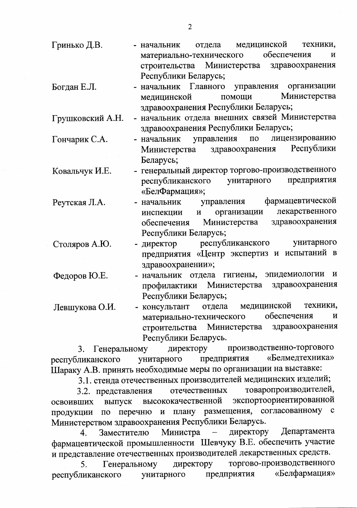| Гринько Д.В. | - начальник                                | отдела | медицинской | техники,     |  |
|--------------|--------------------------------------------|--------|-------------|--------------|--|
|              | материально-технического                   |        | обеспечения | $\mathbf{M}$ |  |
|              | строительства Министерства здравоохранения |        |             |              |  |
|              | Республики Беларусь;                       |        |             |              |  |

организации Богдан Е.Л. - начальник Главного управления Министерства медицинской помощи здравоохранения Республики Беларусь;

- начальник отдела внешних связей Министерства Грушковский А.Н. здравоохранения Республики Беларусь;

- лицензированию Гончарик С.А. - начальник управления  $\overline{10}$ Республики здравоохранения Министерства Беларусь;
- генеральный директор торгово-производственного Ковальчук И.Е. республиканского унитарного предприятия «БелФармация»;
- фармацевтической Реутская Л.А. - начальник управления лекарственного организации  $\mathbf{M}$ инспекции здравоохранения обеспечения Министерства Республики Беларусь;
- республиканского унитарного Столяров А.Ю. - директор предприятия «Центр экспертиз и испытаний в здравоохранении»;

Федоров Ю.Е. - начальник отдела гигиены, эпидемиологии  $\mathbf{M}$ профилактики Министерства здравоохранения Республики Беларусь;

- консультант отдела медицинской техники, Левшукова О.И. обеспечения материально-технического  $\mathbf{M}$ строительства здравоохранения Министерства Республики Беларусь.

производственно-торгового 3. Генеральному директору предприятия «Белмедтехника» унитарного республиканского Шараку А.В. принять необходимые меры по организации на выставке:

3.1. стенда отечественных производителей медицинских изделий;

товаропроизводителей, отечественных 3.2. представления экспортоориентированной высококачественной освоивших выпуск согласованному с плану размещения, перечню  $\mathbf{M}$  $\overline{a}$ продукции Министерством здравоохранения Республики Беларусь.

Министра  $\overline{\phantom{a}}$ директору Департамента Заместителю  $\overline{4}$ . фармацевтической промышленности Шевчуку В.Е. обеспечить участие и представление отечественных производителей лекарственных средств.

торгово-производственного директору Генеральному 5. унитарного «Белфармация» предприятия республиканского

 $\overline{2}$